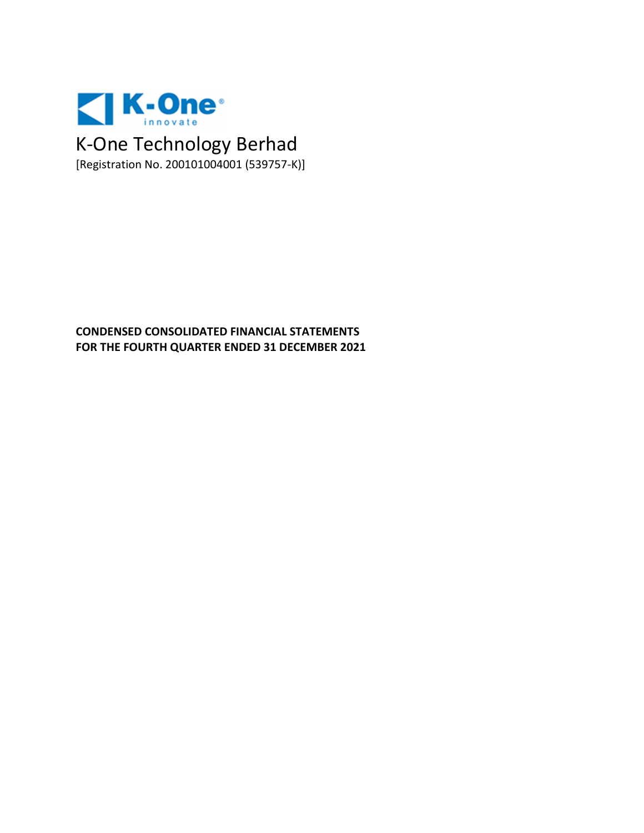

# **CONDENSED CONSOLIDATED FINANCIAL STATEMENTS FOR THE FOURTH QUARTER ENDED 31 DECEMBER 2021**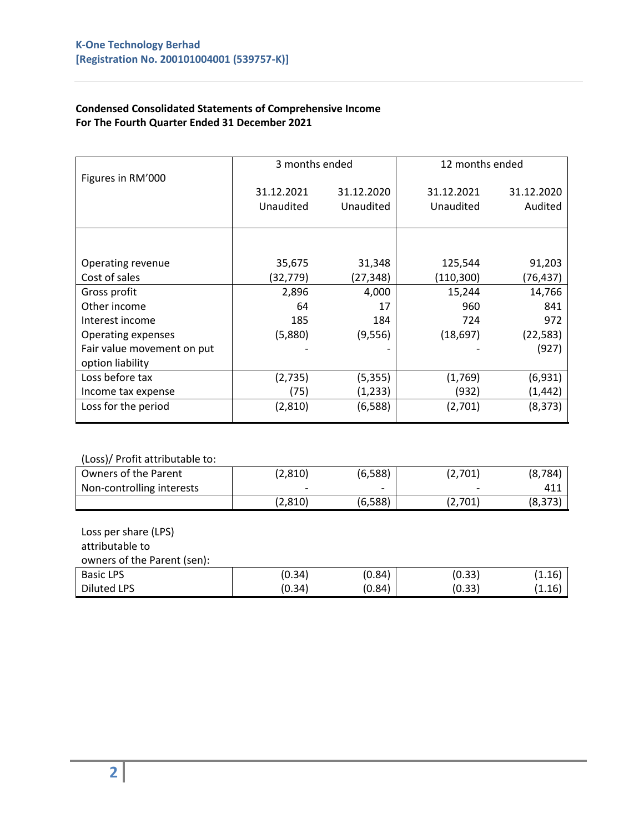#### **Condensed Consolidated Statements of Comprehensive Income For The Fourth Quarter Ended 31 December 2021**

|                            | 3 months ended |            | 12 months ended |            |
|----------------------------|----------------|------------|-----------------|------------|
| Figures in RM'000          | 31.12.2021     | 31.12.2020 | 31.12.2021      | 31.12.2020 |
|                            | Unaudited      | Unaudited  | Unaudited       | Audited    |
|                            |                |            |                 |            |
|                            |                |            |                 |            |
| Operating revenue          | 35,675         | 31,348     | 125,544         | 91,203     |
| Cost of sales              | (32,779)       | (27,348)   | (110, 300)      | (76,437)   |
| Gross profit               | 2,896          | 4,000      | 15,244          | 14,766     |
| Other income               | 64             | 17         | 960             | 841        |
| Interest income            | 185            | 184        | 724             | 972        |
| Operating expenses         | (5,880)        | (9, 556)   | (18, 697)       | (22, 583)  |
| Fair value movement on put |                |            |                 | (927)      |
| option liability           |                |            |                 |            |
| Loss before tax            | (2,735)        | (5, 355)   | (1,769)         | (6,931)    |
| Income tax expense         | (75)           | (1,233)    | (932)           | (1,442)    |
| Loss for the period        | (2,810)        | (6,588)    | (2,701)         | (8, 373)   |

#### (Loss)/ Profit attributable to:

| Owners of the Parent      | (2,810)                  | (6,588)                  | (2,701) | (8, 784) |
|---------------------------|--------------------------|--------------------------|---------|----------|
| Non-controlling interests | $\overline{\phantom{a}}$ | $\overline{\phantom{0}}$ |         |          |
|                           | (2, 810)                 | (6,588)                  | (2,701) | (8, 373) |

#### Loss per share (LPS) attributable to

owners of the Parent (sen):

| <b>Basic LPS</b>   | (0.34) | (0.84) | (0.33) | $\pm .16$ |
|--------------------|--------|--------|--------|-----------|
| <b>Diluted LPS</b> | (0.34) | (0.84) | (0.33) | .1.16     |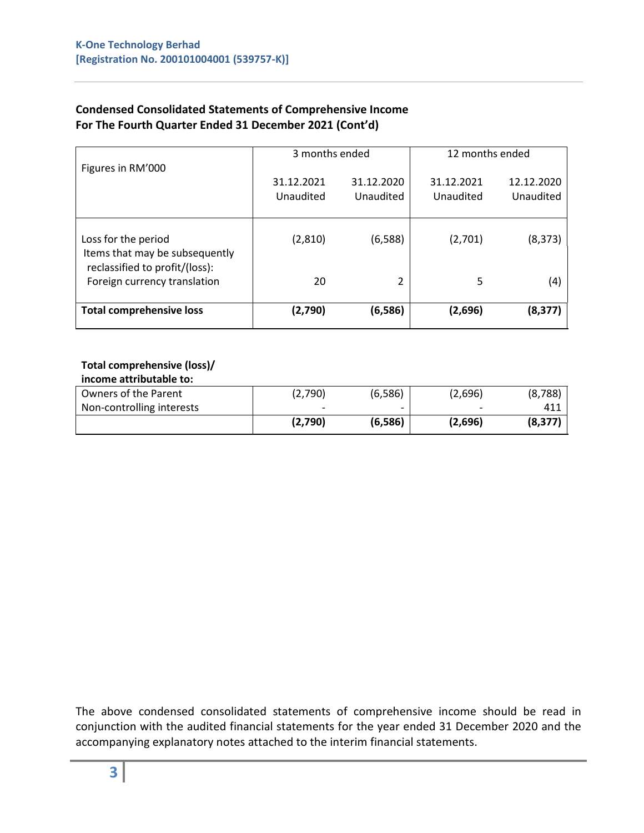# **Condensed Consolidated Statements of Comprehensive Income For The Fourth Quarter Ended 31 December 2021 (Cont'd)**

|                                                                                         | 3 months ended          |                         | 12 months ended         |                         |  |
|-----------------------------------------------------------------------------------------|-------------------------|-------------------------|-------------------------|-------------------------|--|
| Figures in RM'000                                                                       | 31.12.2021<br>Unaudited | 31.12.2020<br>Unaudited | 31.12.2021<br>Unaudited | 12.12.2020<br>Unaudited |  |
| Loss for the period<br>Items that may be subsequently<br>reclassified to profit/(loss): | (2,810)                 | (6,588)                 | (2,701)                 | (8, 373)                |  |
| Foreign currency translation                                                            | 20                      | 2                       | 5                       | (4)                     |  |
| <b>Total comprehensive loss</b>                                                         | (2,790)                 | (6,586)                 | (2,696)                 | (8, 377)                |  |

#### **Total comprehensive (loss)/ income attributable to:**

| <u>mcome attributable to:</u> |                          |                          |                          |          |
|-------------------------------|--------------------------|--------------------------|--------------------------|----------|
| Owners of the Parent          | (2,790)                  | (6, 586)                 | (2,696)                  | (8,788)  |
| Non-controlling interests     | $\overline{\phantom{0}}$ | $\overline{\phantom{0}}$ | $\overline{\phantom{0}}$ | 411      |
|                               | (2,790)                  | (6,586)                  | (2,696)                  | (8, 377) |

The above condensed consolidated statements of comprehensive income should be read in conjunction with the audited financial statements for the year ended 31 December 2020 and the accompanying explanatory notes attached to the interim financial statements.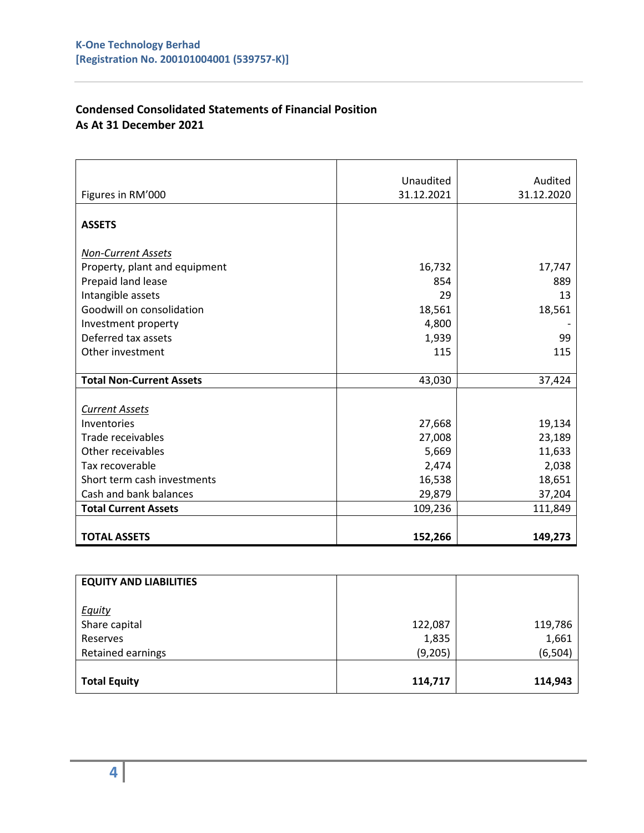# **Condensed Consolidated Statements of Financial Position As At 31 December 2021**

|                                 | Unaudited  | Audited    |
|---------------------------------|------------|------------|
| Figures in RM'000               | 31.12.2021 | 31.12.2020 |
|                                 |            |            |
| <b>ASSETS</b>                   |            |            |
|                                 |            |            |
| <b>Non-Current Assets</b>       |            |            |
| Property, plant and equipment   | 16,732     | 17,747     |
| Prepaid land lease              | 854        | 889        |
| Intangible assets               | 29         | 13         |
| Goodwill on consolidation       | 18,561     | 18,561     |
| Investment property             | 4,800      |            |
| Deferred tax assets             | 1,939      | 99         |
| Other investment                | 115        | 115        |
|                                 |            |            |
| <b>Total Non-Current Assets</b> | 43,030     | 37,424     |
|                                 |            |            |
| <b>Current Assets</b>           |            |            |
| Inventories                     | 27,668     | 19,134     |
| Trade receivables               | 27,008     | 23,189     |
| Other receivables               | 5,669      | 11,633     |
| Tax recoverable                 | 2,474      | 2,038      |
| Short term cash investments     | 16,538     | 18,651     |
| Cash and bank balances          | 29,879     | 37,204     |
| <b>Total Current Assets</b>     | 109,236    | 111,849    |
|                                 |            |            |
| <b>TOTAL ASSETS</b>             | 152,266    | 149,273    |

| <b>EQUITY AND LIABILITIES</b> |         |          |
|-------------------------------|---------|----------|
| <b>Equity</b>                 |         |          |
| Share capital                 | 122,087 | 119,786  |
| Reserves                      | 1,835   | 1,661    |
| Retained earnings             | (9,205) | (6, 504) |
|                               |         |          |
| <b>Total Equity</b>           | 114,717 | 114,943  |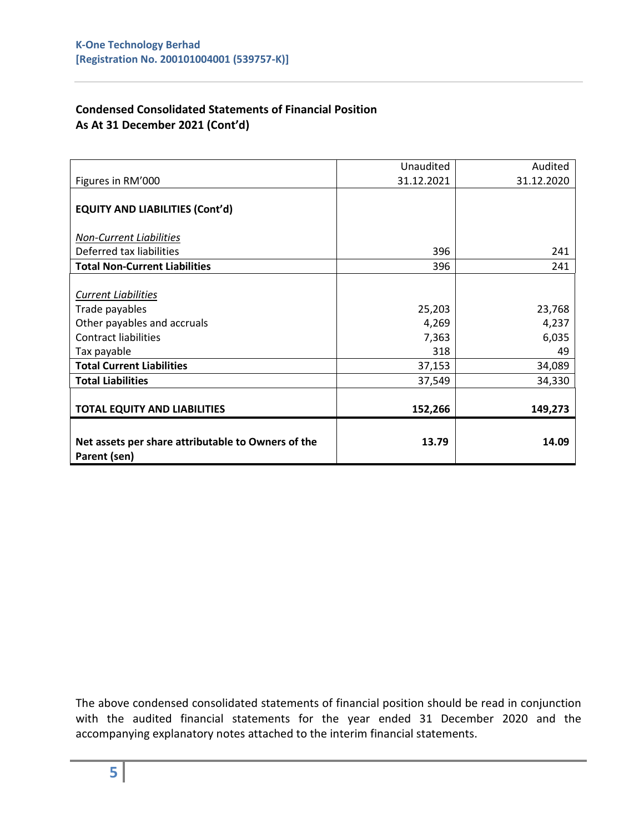# **Condensed Consolidated Statements of Financial Position As At 31 December 2021 (Cont'd)**

| Net assets per share attributable to Owners of the<br>Parent (sen) | 13.79      | 14.09      |
|--------------------------------------------------------------------|------------|------------|
| <b>TOTAL EQUITY AND LIABILITIES</b>                                | 152,266    | 149,273    |
| <b>Total Liabilities</b>                                           | 37,549     | 34,330     |
| <b>Total Current Liabilities</b>                                   | 37,153     | 34,089     |
| Tax payable                                                        | 318        | 49         |
| <b>Contract liabilities</b>                                        | 7,363      | 6,035      |
| Other payables and accruals                                        | 4,269      | 4,237      |
| Trade payables                                                     | 25,203     | 23,768     |
| <b>Current Liabilities</b>                                         |            |            |
| <b>Total Non-Current Liabilities</b>                               | 396        | 241        |
| Deferred tax liabilities                                           | 396        | 241        |
| <b>Non-Current Liabilities</b>                                     |            |            |
| <b>EQUITY AND LIABILITIES (Cont'd)</b>                             |            |            |
| Figures in RM'000                                                  | 31.12.2021 | 31.12.2020 |
|                                                                    | Unaudited  | Audited    |

The above condensed consolidated statements of financial position should be read in conjunction with the audited financial statements for the year ended 31 December 2020 and the accompanying explanatory notes attached to the interim financial statements.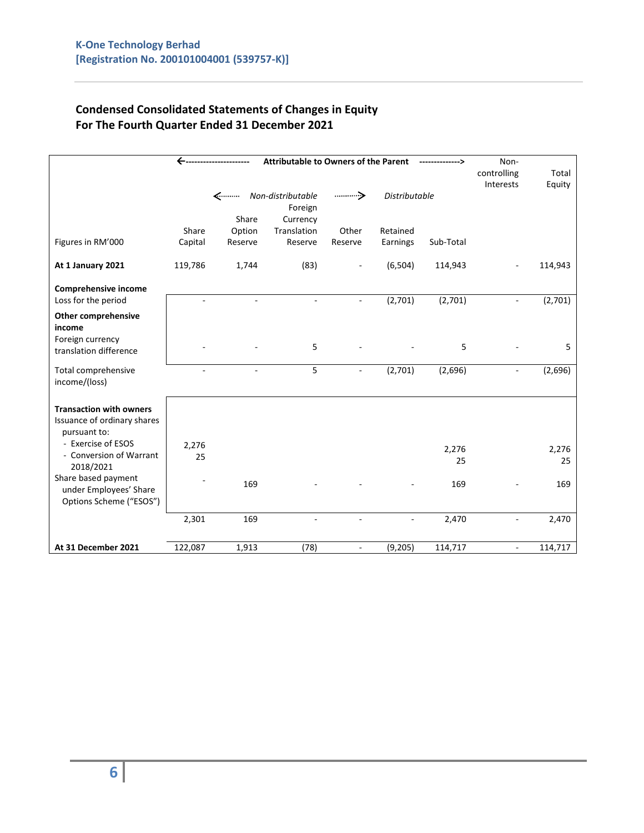# **Condensed Consolidated Statements of Changes in Equity For The Fourth Quarter Ended 31 December 2021**

|                                                                               | <b>Attributable to Owners of the Parent</b><br>← |         |                              |                          |                          | Non-<br>controlling<br>Interests | Total<br>Equity          |         |
|-------------------------------------------------------------------------------|--------------------------------------------------|---------|------------------------------|--------------------------|--------------------------|----------------------------------|--------------------------|---------|
|                                                                               |                                                  | <………    | Non-distributable<br>Foreign |                          | <b>Distributable</b>     |                                  |                          |         |
|                                                                               |                                                  | Share   | Currency                     |                          |                          |                                  |                          |         |
|                                                                               | Share                                            | Option  | Translation                  | Other                    | Retained                 |                                  |                          |         |
| Figures in RM'000                                                             | Capital                                          | Reserve | Reserve                      | Reserve                  | Earnings                 | Sub-Total                        |                          |         |
| At 1 January 2021                                                             | 119,786                                          | 1,744   | (83)                         |                          | (6, 504)                 | 114,943                          |                          | 114,943 |
| Comprehensive income                                                          |                                                  |         |                              |                          |                          |                                  |                          |         |
| Loss for the period                                                           |                                                  |         |                              |                          | (2,701)                  | (2,701)                          |                          | (2,701) |
| <b>Other comprehensive</b><br>income                                          |                                                  |         |                              |                          |                          |                                  |                          |         |
| Foreign currency<br>translation difference                                    |                                                  |         | 5                            |                          |                          | 5                                |                          | 5       |
| Total comprehensive<br>income/(loss)                                          |                                                  |         | 5                            | $\blacksquare$           | (2,701)                  | (2,696)                          |                          | (2,696) |
| <b>Transaction with owners</b><br>Issuance of ordinary shares<br>pursuant to: |                                                  |         |                              |                          |                          |                                  |                          |         |
| - Exercise of ESOS                                                            | 2,276                                            |         |                              |                          |                          | 2,276                            |                          | 2,276   |
| - Conversion of Warrant<br>2018/2021                                          | 25                                               |         |                              |                          |                          | 25                               |                          | 25      |
| Share based payment<br>under Employees' Share<br>Options Scheme ("ESOS")      |                                                  | 169     |                              |                          |                          | 169                              |                          | 169     |
|                                                                               | 2,301                                            | 169     | $\sim$                       | $\mathbf{r}$             | $\overline{\phantom{a}}$ | 2,470                            | $\overline{\phantom{a}}$ | 2,470   |
| At 31 December 2021                                                           | 122,087                                          | 1,913   | (78)                         | $\overline{\phantom{a}}$ | (9,205)                  | 114,717                          | $\blacksquare$           | 114,717 |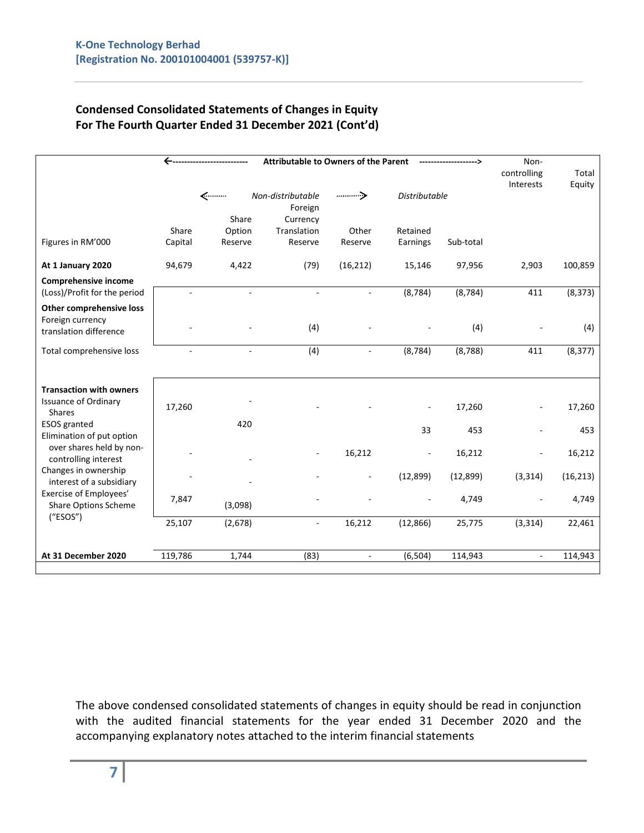# **Condensed Consolidated Statements of Changes in Equity For The Fourth Quarter Ended 31 December 2021 (Cont'd)**

|                                                                               | <b>Attributable to Owners of the Parent</b> |               |                                          |                          |                          | Non-<br>controlling | Total          |           |
|-------------------------------------------------------------------------------|---------------------------------------------|---------------|------------------------------------------|--------------------------|--------------------------|---------------------|----------------|-----------|
|                                                                               |                                             | <………<br>Share | Non-distributable<br>Foreign<br>Currency |                          | <b>Distributable</b>     |                     | Interests      | Equity    |
|                                                                               | Share                                       | Option        | Translation                              | Other                    | Retained                 |                     |                |           |
| Figures in RM'000                                                             | Capital                                     | Reserve       | Reserve                                  | Reserve                  | Earnings                 | Sub-total           |                |           |
| At 1 January 2020                                                             | 94,679                                      | 4,422         | (79)                                     | (16, 212)                | 15,146                   | 97,956              | 2,903          | 100,859   |
| Comprehensive income                                                          |                                             |               |                                          |                          |                          |                     |                |           |
| (Loss)/Profit for the period                                                  |                                             |               | $\sim$                                   |                          | (8, 784)                 | (8, 784)            | 411            | (8, 373)  |
| <b>Other comprehensive loss</b><br>Foreign currency<br>translation difference |                                             |               | (4)                                      |                          |                          | (4)                 |                | (4)       |
| Total comprehensive loss                                                      |                                             |               | (4)                                      | $\blacksquare$           | (8, 784)                 | (8, 788)            | 411            | (8, 377)  |
|                                                                               |                                             |               |                                          |                          |                          |                     |                |           |
| <b>Transaction with owners</b><br><b>Issuance of Ordinary</b>                 | 17,260                                      |               |                                          |                          |                          | 17,260              |                | 17,260    |
| <b>Shares</b><br><b>ESOS</b> granted                                          |                                             | 420           |                                          |                          | 33                       | 453                 |                | 453       |
| Elimination of put option<br>over shares held by non-<br>controlling interest |                                             |               |                                          | 16,212                   | $\overline{\phantom{a}}$ | 16,212              |                | 16,212    |
| Changes in ownership<br>interest of a subsidiary                              |                                             |               |                                          | $\overline{\phantom{a}}$ | (12,899)                 | (12, 899)           | (3, 314)       | (16, 213) |
| Exercise of Employees'<br><b>Share Options Scheme</b>                         | 7,847                                       | (3,098)       |                                          |                          |                          | 4,749               |                | 4,749     |
| ("ESOS")                                                                      | 25,107                                      | (2,678)       | $\omega$                                 | 16,212                   | (12, 866)                | 25,775              | (3, 314)       | 22,461    |
| At 31 December 2020                                                           | 119,786                                     | 1,744         | (83)                                     | $\blacksquare$           | (6, 504)                 | 114,943             | $\blacksquare$ | 114,943   |
|                                                                               |                                             |               |                                          |                          |                          |                     |                |           |

The above condensed consolidated statements of changes in equity should be read in conjunction with the audited financial statements for the year ended 31 December 2020 and the accompanying explanatory notes attached to the interim financial statements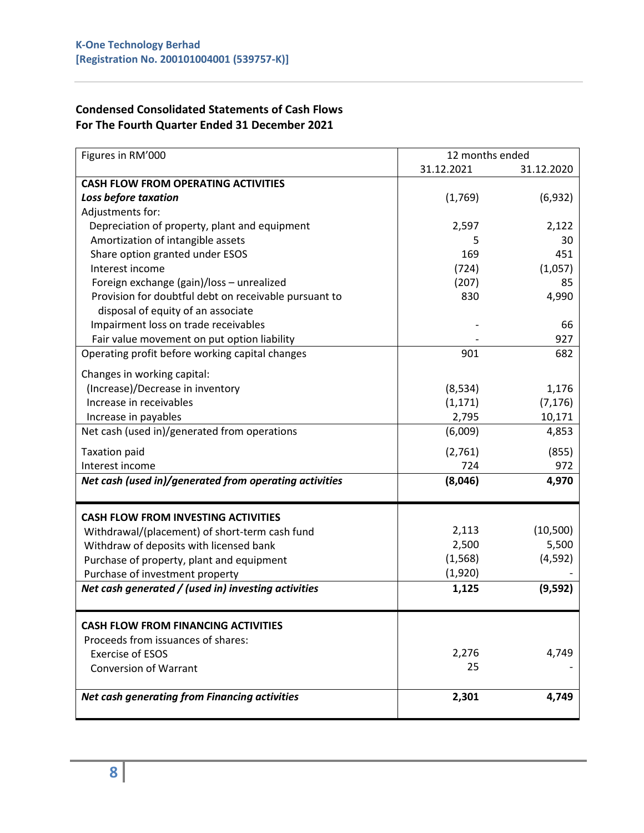# **Condensed Consolidated Statements of Cash Flows For The Fourth Quarter Ended 31 December 2021**

| Figures in RM'000                                      | 12 months ended |            |
|--------------------------------------------------------|-----------------|------------|
|                                                        | 31.12.2021      | 31.12.2020 |
| <b>CASH FLOW FROM OPERATING ACTIVITIES</b>             |                 |            |
| Loss before taxation                                   | (1,769)         | (6,932)    |
| Adjustments for:                                       |                 |            |
| Depreciation of property, plant and equipment          | 2,597           | 2,122      |
| Amortization of intangible assets                      | 5               | 30         |
| Share option granted under ESOS                        | 169             | 451        |
| Interest income                                        | (724)           | (1,057)    |
| Foreign exchange (gain)/loss - unrealized              | (207)           | 85         |
| Provision for doubtful debt on receivable pursuant to  | 830             | 4,990      |
| disposal of equity of an associate                     |                 |            |
| Impairment loss on trade receivables                   |                 | 66         |
| Fair value movement on put option liability            |                 | 927        |
| Operating profit before working capital changes        | 901             | 682        |
| Changes in working capital:                            |                 |            |
| (Increase)/Decrease in inventory                       | (8, 534)        | 1,176      |
| Increase in receivables                                | (1, 171)        | (7, 176)   |
| Increase in payables                                   | 2,795           | 10,171     |
| Net cash (used in)/generated from operations           | (6,009)         | 4,853      |
| <b>Taxation paid</b>                                   | (2,761)         | (855)      |
| Interest income                                        | 724             | 972        |
| Net cash (used in)/generated from operating activities | (8,046)         | 4,970      |
|                                                        |                 |            |
| <b>CASH FLOW FROM INVESTING ACTIVITIES</b>             |                 |            |
| Withdrawal/(placement) of short-term cash fund         | 2,113           | (10, 500)  |
| Withdraw of deposits with licensed bank                | 2,500           | 5,500      |
| Purchase of property, plant and equipment              | (1, 568)        | (4, 592)   |
| Purchase of investment property                        | (1,920)         |            |
| Net cash generated / (used in) investing activities    | 1,125           | (9, 592)   |
|                                                        |                 |            |
| <b>CASH FLOW FROM FINANCING ACTIVITIES</b>             |                 |            |
| Proceeds from issuances of shares:                     |                 |            |
| <b>Exercise of ESOS</b>                                | 2,276           | 4,749      |
| <b>Conversion of Warrant</b>                           | 25              |            |
| Net cash generating from Financing activities          | 2,301           | 4,749      |
|                                                        |                 |            |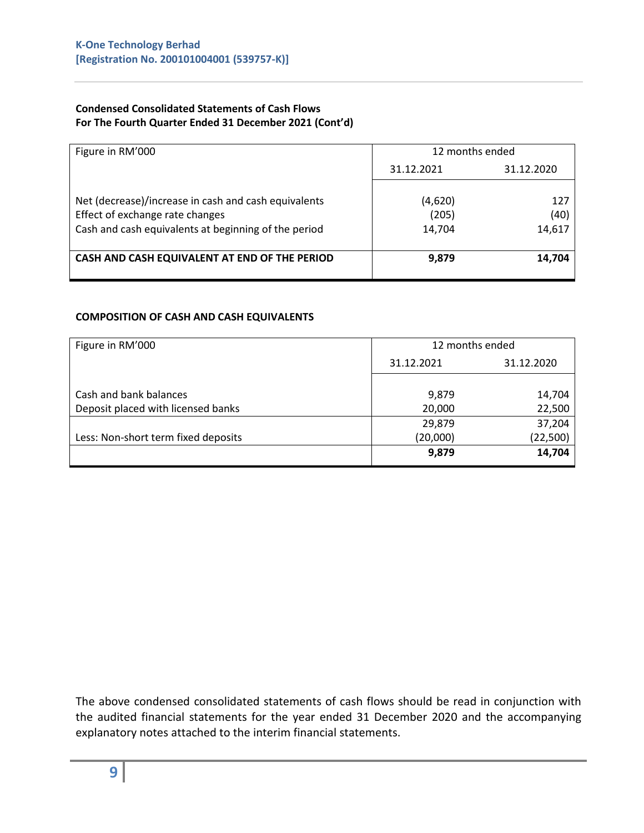#### **Condensed Consolidated Statements of Cash Flows For The Fourth Quarter Ended 31 December 2021 (Cont'd)**

| Figure in RM'000                                                                                                                                | 12 months ended            |                       |  |
|-------------------------------------------------------------------------------------------------------------------------------------------------|----------------------------|-----------------------|--|
|                                                                                                                                                 | 31.12.2021                 | 31.12.2020            |  |
| Net (decrease)/increase in cash and cash equivalents<br>Effect of exchange rate changes<br>Cash and cash equivalents at beginning of the period | (4,620)<br>(205)<br>14,704 | 127<br>(40)<br>14,617 |  |
| CASH AND CASH EQUIVALENT AT END OF THE PERIOD                                                                                                   | 9,879                      | 14,704                |  |

#### **COMPOSITION OF CASH AND CASH EQUIVALENTS**

| 12 months ended          |           |  |
|--------------------------|-----------|--|
| 31.12.2021<br>31.12.2020 |           |  |
|                          |           |  |
| 9,879                    | 14,704    |  |
| 20,000                   | 22,500    |  |
| 29,879                   | 37,204    |  |
| (20,000)                 | (22, 500) |  |
| 9,879                    | 14,704    |  |
|                          |           |  |

The above condensed consolidated statements of cash flows should be read in conjunction with the audited financial statements for the year ended 31 December 2020 and the accompanying explanatory notes attached to the interim financial statements.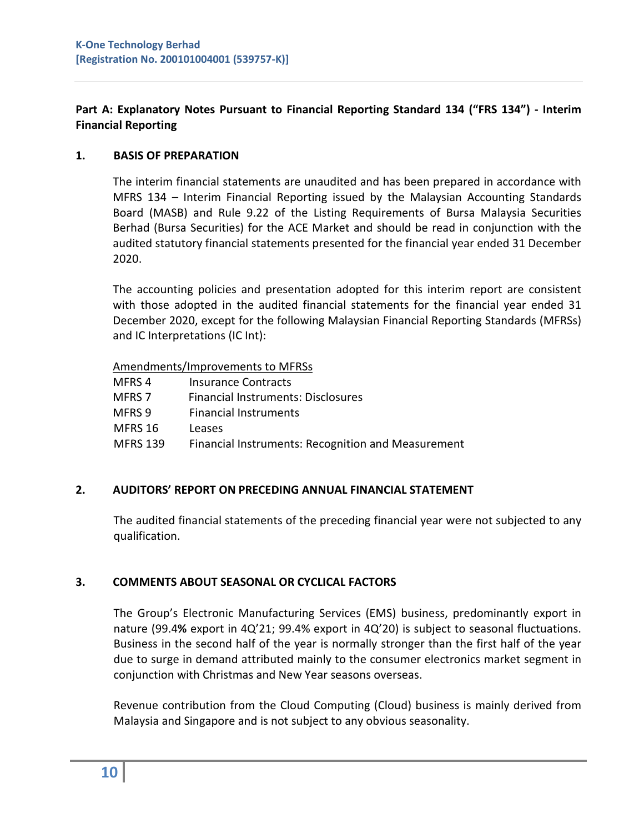# **Part A: Explanatory Notes Pursuant to Financial Reporting Standard 134 ("FRS 134") - Interim Financial Reporting**

## **1. BASIS OF PREPARATION**

The interim financial statements are unaudited and has been prepared in accordance with MFRS 134 – Interim Financial Reporting issued by the Malaysian Accounting Standards Board (MASB) and Rule 9.22 of the Listing Requirements of Bursa Malaysia Securities Berhad (Bursa Securities) for the ACE Market and should be read in conjunction with the audited statutory financial statements presented for the financial year ended 31 December 2020.

The accounting policies and presentation adopted for this interim report are consistent with those adopted in the audited financial statements for the financial year ended 31 December 2020, except for the following Malaysian Financial Reporting Standards (MFRSs) and IC Interpretations (IC Int):

Amendments/Improvements to MFRSs

MFRS 4 Insurance Contracts MFRS 7 Financial Instruments: Disclosures MFRS 9 Financial Instruments MFRS 16 Leases MFRS 139 Financial Instruments: Recognition and Measurement

# **2. AUDITORS' REPORT ON PRECEDING ANNUAL FINANCIAL STATEMENT**

The audited financial statements of the preceding financial year were not subjected to any qualification.

# **3. COMMENTS ABOUT SEASONAL OR CYCLICAL FACTORS**

The Group's Electronic Manufacturing Services (EMS) business, predominantly export in nature (99.4**%** export in 4Q'21; 99.4% export in 4Q'20) is subject to seasonal fluctuations. Business in the second half of the year is normally stronger than the first half of the year due to surge in demand attributed mainly to the consumer electronics market segment in conjunction with Christmas and New Year seasons overseas.

Revenue contribution from the Cloud Computing (Cloud) business is mainly derived from Malaysia and Singapore and is not subject to any obvious seasonality.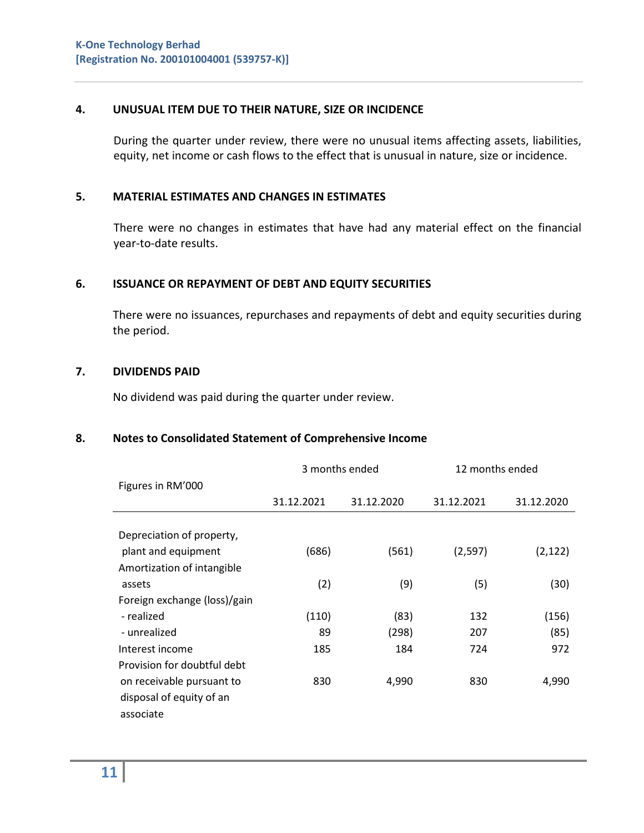## **4. UNUSUAL ITEM DUE TO THEIR NATURE, SIZE OR INCIDENCE**

During the quarter under review, there were no unusual items affecting assets, liabilities, equity, net income or cash flows to the effect that is unusual in nature, size or incidence.

## **5. MATERIAL ESTIMATES AND CHANGES IN ESTIMATES**

There were no changes in estimates that have had any material effect on the financial year-to-date results.

### **6. ISSUANCE OR REPAYMENT OF DEBT AND EQUITY SECURITIES**

There were no issuances, repurchases and repayments of debt and equity securities during the period.

#### **7. DIVIDENDS PAID**

No dividend was paid during the quarter under review.

#### **8. Notes to Consolidated Statement of Comprehensive Income**

|                              | 3 months ended |            | 12 months ended |            |
|------------------------------|----------------|------------|-----------------|------------|
| Figures in RM'000            |                |            |                 |            |
|                              | 31.12.2021     | 31.12.2020 | 31.12.2021      | 31.12.2020 |
|                              |                |            |                 |            |
| Depreciation of property,    |                |            |                 |            |
| plant and equipment          | (686)          | (561)      | (2,597)         | (2, 122)   |
| Amortization of intangible   |                |            |                 |            |
| assets                       | (2)            | (9)        | (5)             | (30)       |
| Foreign exchange (loss)/gain |                |            |                 |            |
| - realized                   | (110)          | (83)       | 132             | (156)      |
| - unrealized                 | 89             | (298)      | 207             | (85)       |
| Interest income              | 185            | 184        | 724             | 972        |
| Provision for doubtful debt  |                |            |                 |            |
| on receivable pursuant to    | 830            | 4,990      | 830             | 4,990      |
| disposal of equity of an     |                |            |                 |            |
| associate                    |                |            |                 |            |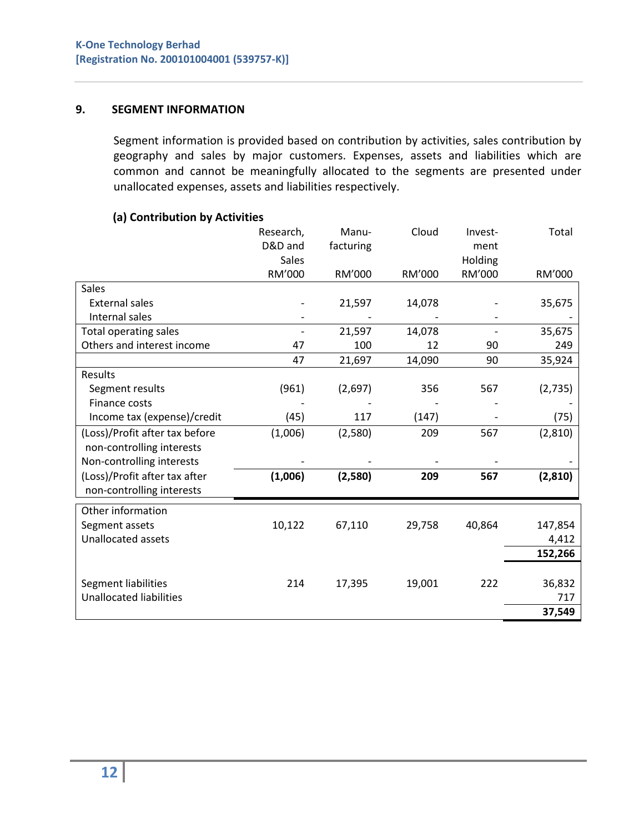## **9. SEGMENT INFORMATION**

Segment information is provided based on contribution by activities, sales contribution by geography and sales by major customers. Expenses, assets and liabilities which are common and cannot be meaningfully allocated to the segments are presented under unallocated expenses, assets and liabilities respectively.

### **(a) Contribution by Activities**

|                                | Research,<br>D&D and<br><b>Sales</b> | Manu-<br>facturing | Cloud  | Invest-<br>ment<br>Holding | Total    |
|--------------------------------|--------------------------------------|--------------------|--------|----------------------------|----------|
|                                | RM'000                               | RM'000             | RM'000 | RM'000                     | RM'000   |
| Sales                          |                                      |                    |        |                            |          |
| <b>External sales</b>          |                                      | 21,597             | 14,078 |                            | 35,675   |
| Internal sales                 |                                      |                    |        |                            |          |
| Total operating sales          |                                      | 21,597             | 14,078 |                            | 35,675   |
| Others and interest income     | 47                                   | 100                | 12     | 90                         | 249      |
|                                | 47                                   | 21,697             | 14,090 | 90                         | 35,924   |
| Results                        |                                      |                    |        |                            |          |
| Segment results                | (961)                                | (2,697)            | 356    | 567                        | (2, 735) |
| Finance costs                  |                                      |                    |        |                            |          |
| Income tax (expense)/credit    | (45)                                 | 117                | (147)  |                            | (75)     |
| (Loss)/Profit after tax before | (1,006)                              | (2,580)            | 209    | 567                        | (2,810)  |
| non-controlling interests      |                                      |                    |        |                            |          |
| Non-controlling interests      |                                      |                    |        |                            |          |
| (Loss)/Profit after tax after  | (1,006)                              | (2,580)            | 209    | 567                        | (2,810)  |
| non-controlling interests      |                                      |                    |        |                            |          |
| Other information              |                                      |                    |        |                            |          |
| Segment assets                 | 10,122                               | 67,110             | 29,758 | 40,864                     | 147,854  |
| <b>Unallocated assets</b>      |                                      |                    |        |                            | 4,412    |
|                                |                                      |                    |        |                            | 152,266  |
|                                |                                      |                    |        |                            |          |
| Segment liabilities            | 214                                  | 17,395             | 19,001 | 222                        | 36,832   |
| <b>Unallocated liabilities</b> |                                      |                    |        |                            | 717      |
|                                |                                      |                    |        |                            | 37,549   |
|                                |                                      |                    |        |                            |          |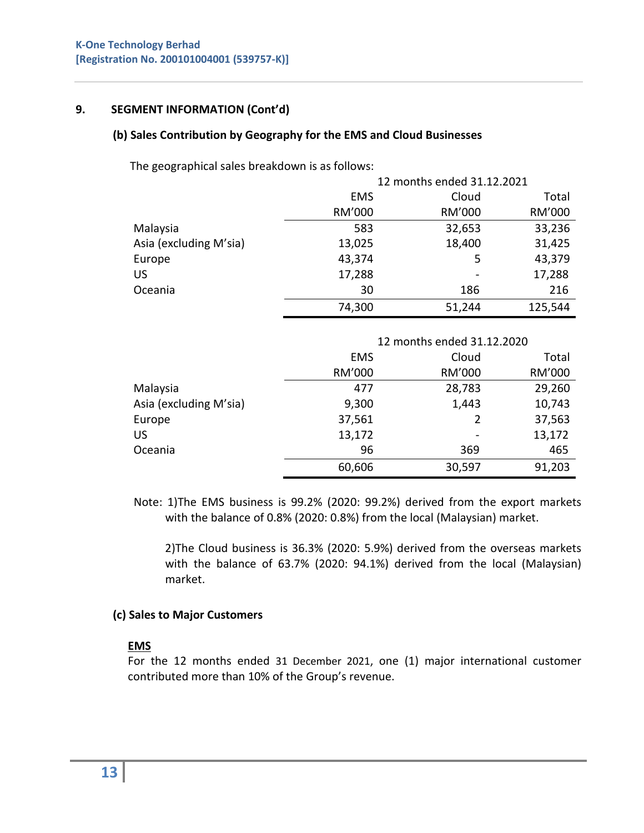## **9. SEGMENT INFORMATION (Cont'd)**

## **(b) Sales Contribution by Geography for the EMS and Cloud Businesses**

The geographical sales breakdown is as follows:

|                        | 12 months ended 31.12.2021 |        |         |  |
|------------------------|----------------------------|--------|---------|--|
|                        | <b>EMS</b>                 |        | Total   |  |
|                        | RM'000                     | RM'000 | RM'000  |  |
| Malaysia               | 583                        | 32,653 | 33,236  |  |
| Asia (excluding M'sia) | 13,025                     | 18,400 | 31,425  |  |
| Europe                 | 43,374                     | 5      | 43,379  |  |
| US                     | 17,288                     |        | 17,288  |  |
| Oceania                | 30                         | 186    | 216     |  |
|                        | 74,300                     | 51,244 | 125,544 |  |

|                        | 12 months ended 31.12.2020 |        |        |  |
|------------------------|----------------------------|--------|--------|--|
|                        | <b>EMS</b>                 | Cloud  | Total  |  |
|                        | RM'000                     | RM'000 | RM'000 |  |
| Malaysia               | 477                        | 28,783 | 29,260 |  |
| Asia (excluding M'sia) | 9,300                      | 1,443  | 10,743 |  |
| Europe                 | 37,561                     | 2      | 37,563 |  |
| <b>US</b>              | 13,172                     |        | 13,172 |  |
| Oceania                | 96                         | 369    | 465    |  |
|                        | 60,606                     | 30,597 | 91,203 |  |

 Note: 1)The EMS business is 99.2% (2020: 99.2%) derived from the export markets with the balance of 0.8% (2020: 0.8%) from the local (Malaysian) market.

 2)The Cloud business is 36.3% (2020: 5.9%) derived from the overseas markets with the balance of 63.7% (2020: 94.1%) derived from the local (Malaysian) market.

## **(c) Sales to Major Customers**

## **EMS**

For the 12 months ended 31 December 2021, one (1) major international customer contributed more than 10% of the Group's revenue.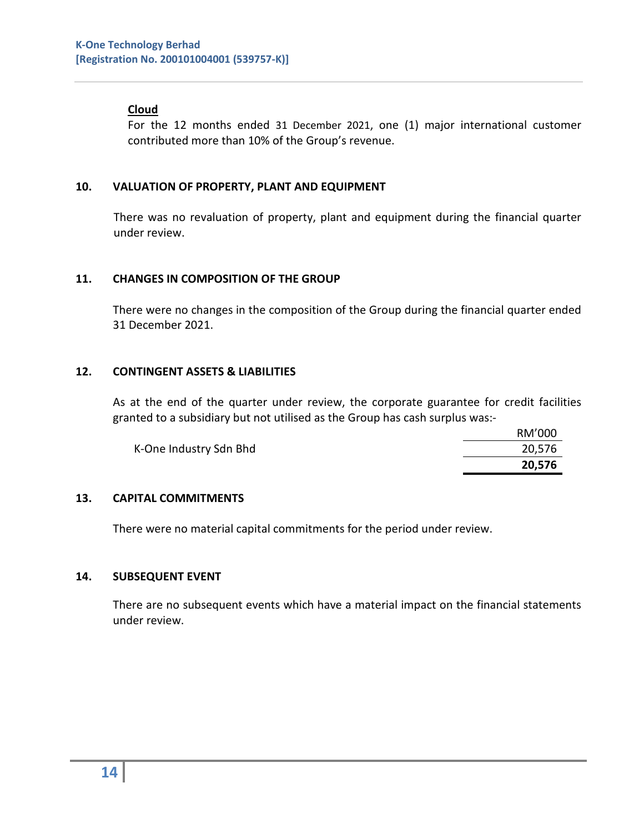## **Cloud**

For the 12 months ended 31 December 2021, one (1) major international customer contributed more than 10% of the Group's revenue.

### **10. VALUATION OF PROPERTY, PLANT AND EQUIPMENT**

There was no revaluation of property, plant and equipment during the financial quarter under review.

### **11. CHANGES IN COMPOSITION OF THE GROUP**

There were no changes in the composition of the Group during the financial quarter ended 31 December 2021.

### **12. CONTINGENT ASSETS & LIABILITIES**

As at the end of the quarter under review, the corporate guarantee for credit facilities granted to a subsidiary but not utilised as the Group has cash surplus was:-

|                        | RM'000 |
|------------------------|--------|
| K-One Industry Sdn Bhd | 20,576 |
|                        | 20,576 |

## **13. CAPITAL COMMITMENTS**

There were no material capital commitments for the period under review.

#### **14. SUBSEQUENT EVENT**

 There are no subsequent events which have a material impact on the financial statements under review.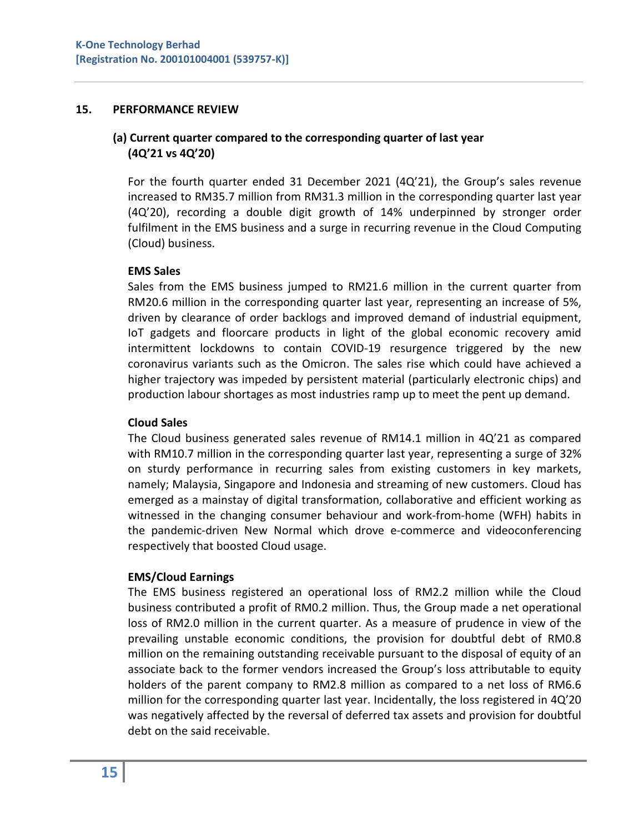#### **15. PERFORMANCE REVIEW**

## **(a) Current quarter compared to the corresponding quarter of last year (4Q'21 vs 4Q'20)**

For the fourth quarter ended 31 December 2021 (4Q'21), the Group's sales revenue increased to RM35.7 million from RM31.3 million in the corresponding quarter last year (4Q'20), recording a double digit growth of 14% underpinned by stronger order fulfilment in the EMS business and a surge in recurring revenue in the Cloud Computing (Cloud) business.

### **EMS Sales**

Sales from the EMS business jumped to RM21.6 million in the current quarter from RM20.6 million in the corresponding quarter last year, representing an increase of 5%, driven by clearance of order backlogs and improved demand of industrial equipment, IoT gadgets and floorcare products in light of the global economic recovery amid intermittent lockdowns to contain COVID-19 resurgence triggered by the new coronavirus variants such as the Omicron. The sales rise which could have achieved a higher trajectory was impeded by persistent material (particularly electronic chips) and production labour shortages as most industries ramp up to meet the pent up demand.

### **Cloud Sales**

The Cloud business generated sales revenue of RM14.1 million in 4Q'21 as compared with RM10.7 million in the corresponding quarter last year, representing a surge of 32% on sturdy performance in recurring sales from existing customers in key markets, namely; Malaysia, Singapore and Indonesia and streaming of new customers. Cloud has emerged as a mainstay of digital transformation, collaborative and efficient working as witnessed in the changing consumer behaviour and work-from-home (WFH) habits in the pandemic-driven New Normal which drove e-commerce and videoconferencing respectively that boosted Cloud usage.

## **EMS/Cloud Earnings**

The EMS business registered an operational loss of RM2.2 million while the Cloud business contributed a profit of RM0.2 million. Thus, the Group made a net operational loss of RM2.0 million in the current quarter. As a measure of prudence in view of the prevailing unstable economic conditions, the provision for doubtful debt of RM0.8 million on the remaining outstanding receivable pursuant to the disposal of equity of an associate back to the former vendors increased the Group's loss attributable to equity holders of the parent company to RM2.8 million as compared to a net loss of RM6.6 million for the corresponding quarter last year. Incidentally, the loss registered in 4Q'20 was negatively affected by the reversal of deferred tax assets and provision for doubtful debt on the said receivable.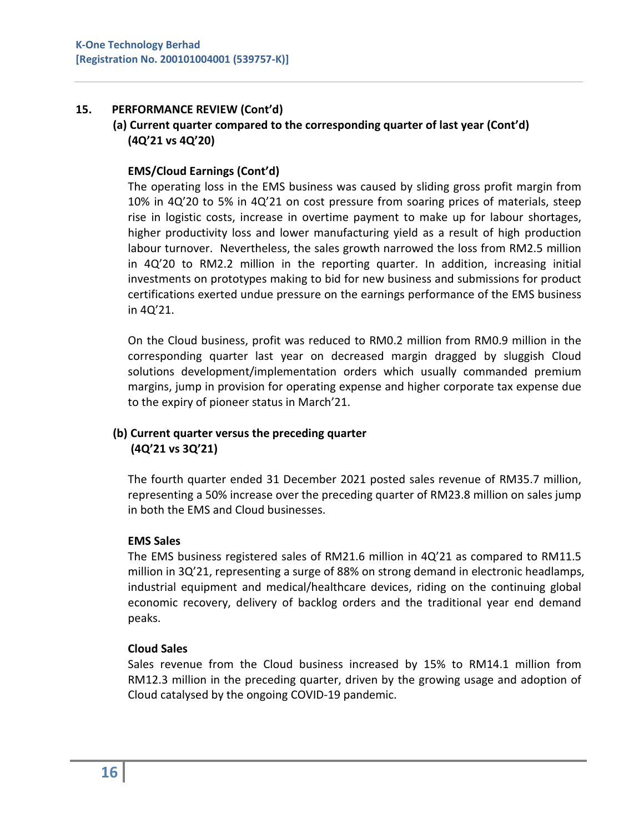## **15. PERFORMANCE REVIEW (Cont'd)**

## **(a) Current quarter compared to the corresponding quarter of last year (Cont'd) (4Q'21 vs 4Q'20)**

## **EMS/Cloud Earnings (Cont'd)**

The operating loss in the EMS business was caused by sliding gross profit margin from 10% in 4Q'20 to 5% in 4Q'21 on cost pressure from soaring prices of materials, steep rise in logistic costs, increase in overtime payment to make up for labour shortages, higher productivity loss and lower manufacturing yield as a result of high production labour turnover. Nevertheless, the sales growth narrowed the loss from RM2.5 million in 4Q'20 to RM2.2 million in the reporting quarter. In addition, increasing initial investments on prototypes making to bid for new business and submissions for product certifications exerted undue pressure on the earnings performance of the EMS business in 4Q'21.

On the Cloud business, profit was reduced to RM0.2 million from RM0.9 million in the corresponding quarter last year on decreased margin dragged by sluggish Cloud solutions development/implementation orders which usually commanded premium margins, jump in provision for operating expense and higher corporate tax expense due to the expiry of pioneer status in March'21.

# **(b) Current quarter versus the preceding quarter (4Q'21 vs 3Q'21)**

The fourth quarter ended 31 December 2021 posted sales revenue of RM35.7 million, representing a 50% increase over the preceding quarter of RM23.8 million on sales jump in both the EMS and Cloud businesses.

## **EMS Sales**

The EMS business registered sales of RM21.6 million in 4Q'21 as compared to RM11.5 million in 3Q'21, representing a surge of 88% on strong demand in electronic headlamps, industrial equipment and medical/healthcare devices, riding on the continuing global economic recovery, delivery of backlog orders and the traditional year end demand peaks.

## **Cloud Sales**

Sales revenue from the Cloud business increased by 15% to RM14.1 million from RM12.3 million in the preceding quarter, driven by the growing usage and adoption of Cloud catalysed by the ongoing COVID-19 pandemic.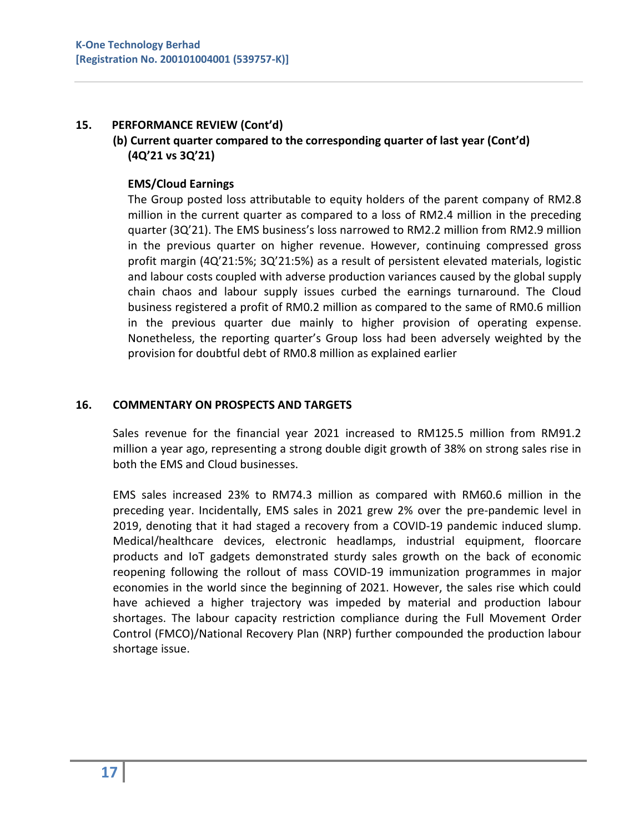## **15. PERFORMANCE REVIEW (Cont'd)**

# **(b) Current quarter compared to the corresponding quarter of last year (Cont'd) (4Q'21 vs 3Q'21)**

## **EMS/Cloud Earnings**

The Group posted loss attributable to equity holders of the parent company of RM2.8 million in the current quarter as compared to a loss of RM2.4 million in the preceding quarter (3Q'21). The EMS business's loss narrowed to RM2.2 million from RM2.9 million in the previous quarter on higher revenue. However, continuing compressed gross profit margin (4Q'21:5%; 3Q'21:5%) as a result of persistent elevated materials, logistic and labour costs coupled with adverse production variances caused by the global supply chain chaos and labour supply issues curbed the earnings turnaround. The Cloud business registered a profit of RM0.2 million as compared to the same of RM0.6 million in the previous quarter due mainly to higher provision of operating expense. Nonetheless, the reporting quarter's Group loss had been adversely weighted by the provision for doubtful debt of RM0.8 million as explained earlier

## **16. COMMENTARY ON PROSPECTS AND TARGETS**

Sales revenue for the financial year 2021 increased to RM125.5 million from RM91.2 million a year ago, representing a strong double digit growth of 38% on strong sales rise in both the EMS and Cloud businesses.

EMS sales increased 23% to RM74.3 million as compared with RM60.6 million in the preceding year. Incidentally, EMS sales in 2021 grew 2% over the pre-pandemic level in 2019, denoting that it had staged a recovery from a COVID-19 pandemic induced slump. Medical/healthcare devices, electronic headlamps, industrial equipment, floorcare products and IoT gadgets demonstrated sturdy sales growth on the back of economic reopening following the rollout of mass COVID-19 immunization programmes in major economies in the world since the beginning of 2021. However, the sales rise which could have achieved a higher trajectory was impeded by material and production labour shortages. The labour capacity restriction compliance during the Full Movement Order Control (FMCO)/National Recovery Plan (NRP) further compounded the production labour shortage issue.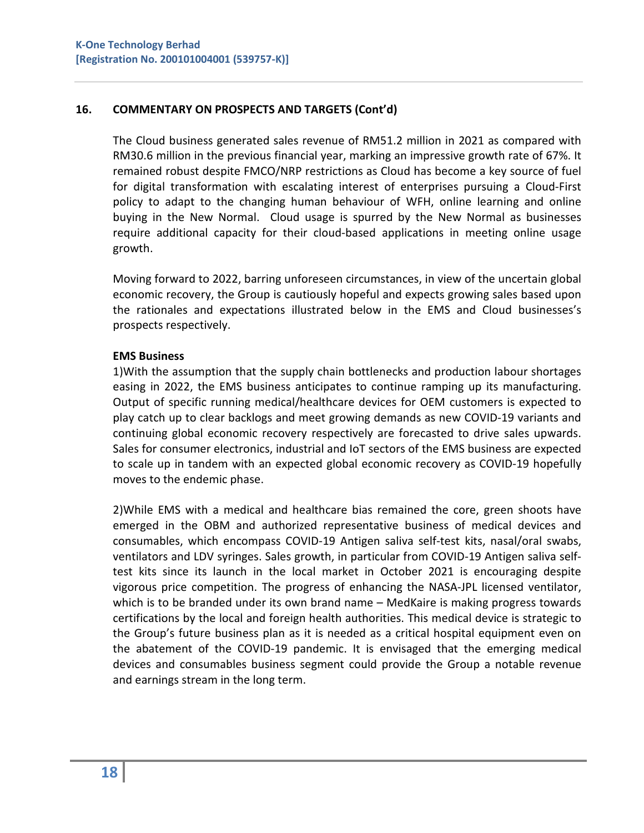## **16. COMMENTARY ON PROSPECTS AND TARGETS (Cont'd)**

The Cloud business generated sales revenue of RM51.2 million in 2021 as compared with RM30.6 million in the previous financial year, marking an impressive growth rate of 67%. It remained robust despite FMCO/NRP restrictions as Cloud has become a key source of fuel for digital transformation with escalating interest of enterprises pursuing a Cloud-First policy to adapt to the changing human behaviour of WFH, online learning and online buying in the New Normal. Cloud usage is spurred by the New Normal as businesses require additional capacity for their cloud-based applications in meeting online usage growth.

Moving forward to 2022, barring unforeseen circumstances, in view of the uncertain global economic recovery, the Group is cautiously hopeful and expects growing sales based upon the rationales and expectations illustrated below in the EMS and Cloud businesses's prospects respectively.

## **EMS Business**

1)With the assumption that the supply chain bottlenecks and production labour shortages easing in 2022, the EMS business anticipates to continue ramping up its manufacturing. Output of specific running medical/healthcare devices for OEM customers is expected to play catch up to clear backlogs and meet growing demands as new COVID-19 variants and continuing global economic recovery respectively are forecasted to drive sales upwards. Sales for consumer electronics, industrial and IoT sectors of the EMS business are expected to scale up in tandem with an expected global economic recovery as COVID-19 hopefully moves to the endemic phase.

2)While EMS with a medical and healthcare bias remained the core, green shoots have emerged in the OBM and authorized representative business of medical devices and consumables, which encompass COVID-19 Antigen saliva self-test kits, nasal/oral swabs, ventilators and LDV syringes. Sales growth, in particular from COVID-19 Antigen saliva selftest kits since its launch in the local market in October 2021 is encouraging despite vigorous price competition. The progress of enhancing the NASA-JPL licensed ventilator, which is to be branded under its own brand name – MedKaire is making progress towards certifications by the local and foreign health authorities. This medical device is strategic to the Group's future business plan as it is needed as a critical hospital equipment even on the abatement of the COVID-19 pandemic. It is envisaged that the emerging medical devices and consumables business segment could provide the Group a notable revenue and earnings stream in the long term.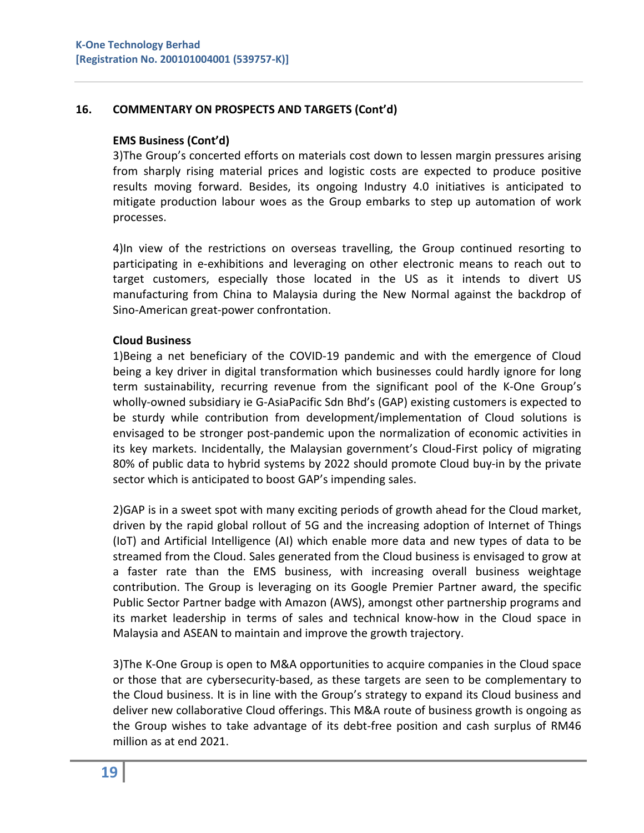## **16. COMMENTARY ON PROSPECTS AND TARGETS (Cont'd)**

### **EMS Business (Cont'd)**

3)The Group's concerted efforts on materials cost down to lessen margin pressures arising from sharply rising material prices and logistic costs are expected to produce positive results moving forward. Besides, its ongoing Industry 4.0 initiatives is anticipated to mitigate production labour woes as the Group embarks to step up automation of work processes.

4)In view of the restrictions on overseas travelling, the Group continued resorting to participating in e-exhibitions and leveraging on other electronic means to reach out to target customers, especially those located in the US as it intends to divert US manufacturing from China to Malaysia during the New Normal against the backdrop of Sino-American great-power confrontation.

## **Cloud Business**

1)Being a net beneficiary of the COVID-19 pandemic and with the emergence of Cloud being a key driver in digital transformation which businesses could hardly ignore for long term sustainability, recurring revenue from the significant pool of the K-One Group's wholly-owned subsidiary ie G-AsiaPacific Sdn Bhd's (GAP) existing customers is expected to be sturdy while contribution from development/implementation of Cloud solutions is envisaged to be stronger post-pandemic upon the normalization of economic activities in its key markets. Incidentally, the Malaysian government's Cloud-First policy of migrating 80% of public data to hybrid systems by 2022 should promote Cloud buy-in by the private sector which is anticipated to boost GAP's impending sales.

2)GAP is in a sweet spot with many exciting periods of growth ahead for the Cloud market, driven by the rapid global rollout of 5G and the increasing adoption of Internet of Things (IoT) and Artificial Intelligence (AI) which enable more data and new types of data to be streamed from the Cloud. Sales generated from the Cloud business is envisaged to grow at a faster rate than the EMS business, with increasing overall business weightage contribution. The Group is leveraging on its Google Premier Partner award, the specific Public Sector Partner badge with Amazon (AWS), amongst other partnership programs and its market leadership in terms of sales and technical know-how in the Cloud space in Malaysia and ASEAN to maintain and improve the growth trajectory.

3)The K-One Group is open to M&A opportunities to acquire companies in the Cloud space or those that are cybersecurity-based, as these targets are seen to be complementary to the Cloud business. It is in line with the Group's strategy to expand its Cloud business and deliver new collaborative Cloud offerings. This M&A route of business growth is ongoing as the Group wishes to take advantage of its debt-free position and cash surplus of RM46 million as at end 2021.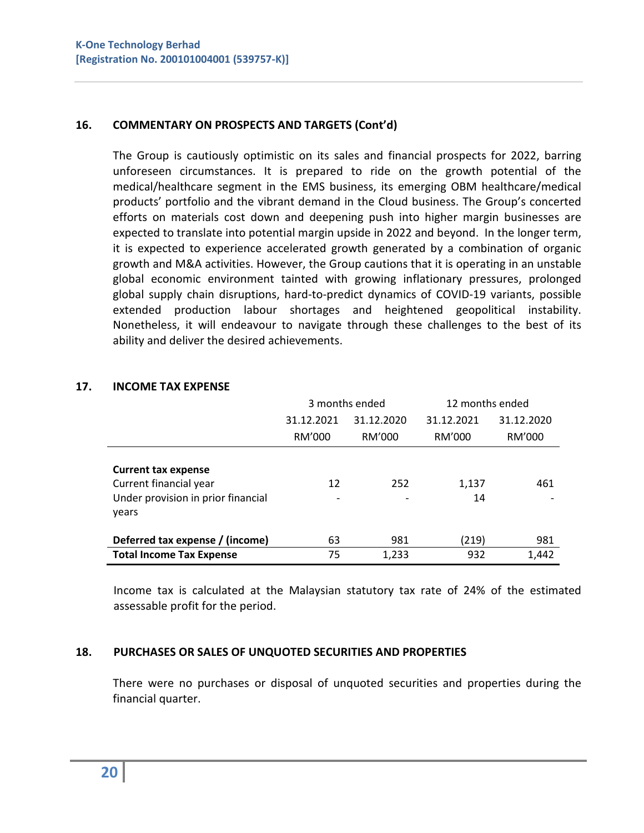## **16. COMMENTARY ON PROSPECTS AND TARGETS (Cont'd)**

The Group is cautiously optimistic on its sales and financial prospects for 2022, barring unforeseen circumstances. It is prepared to ride on the growth potential of the medical/healthcare segment in the EMS business, its emerging OBM healthcare/medical products' portfolio and the vibrant demand in the Cloud business. The Group's concerted efforts on materials cost down and deepening push into higher margin businesses are expected to translate into potential margin upside in 2022 and beyond. In the longer term, it is expected to experience accelerated growth generated by a combination of organic growth and M&A activities. However, the Group cautions that it is operating in an unstable global economic environment tainted with growing inflationary pressures, prolonged global supply chain disruptions, hard-to-predict dynamics of COVID-19 variants, possible extended production labour shortages and heightened geopolitical instability. Nonetheless, it will endeavour to navigate through these challenges to the best of its ability and deliver the desired achievements.

|                                                                                                     |                          | 3 months ended | 12 months ended |            |
|-----------------------------------------------------------------------------------------------------|--------------------------|----------------|-----------------|------------|
|                                                                                                     | 31.12.2021<br>31.12.2020 |                | 31.12.2021      | 31.12.2020 |
|                                                                                                     | RM'000                   | RM'000         | RM'000          | RM'000     |
| <b>Current tax expense</b><br>Current financial year<br>Under provision in prior financial<br>years | 12                       | 252            | 1,137<br>14     | 461        |
| Deferred tax expense / (income)                                                                     | 63                       | 981            | (219)           | 981        |
| <b>Total Income Tax Expense</b>                                                                     | 75                       | 1,233          | 932             | 1,442      |

### **17. INCOME TAX EXPENSE**

Income tax is calculated at the Malaysian statutory tax rate of 24% of the estimated assessable profit for the period.

## **18. PURCHASES OR SALES OF UNQUOTED SECURITIES AND PROPERTIES**

There were no purchases or disposal of unquoted securities and properties during the financial quarter.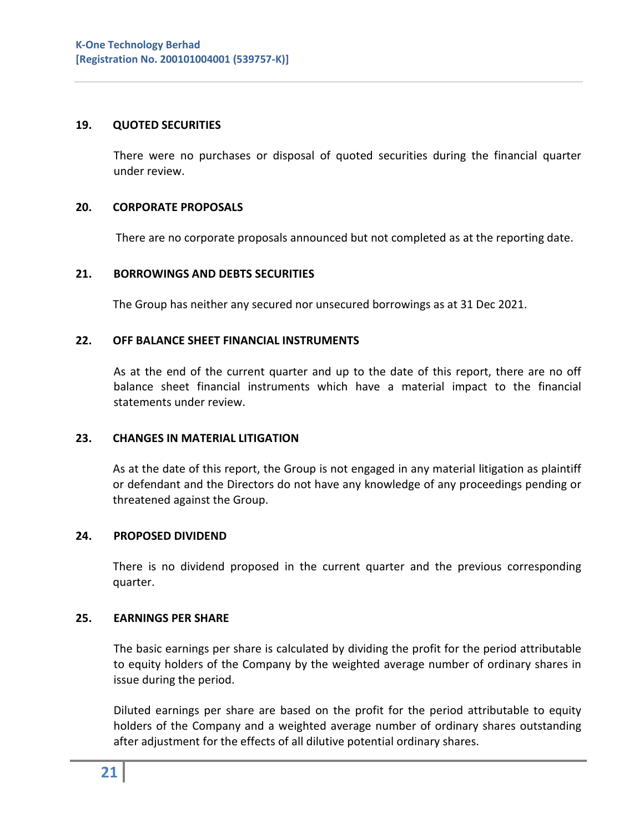### **19. QUOTED SECURITIES**

There were no purchases or disposal of quoted securities during the financial quarter under review.

### **20. CORPORATE PROPOSALS**

There are no corporate proposals announced but not completed as at the reporting date.

#### **21. BORROWINGS AND DEBTS SECURITIES**

The Group has neither any secured nor unsecured borrowings as at 31 Dec 2021.

### **22. OFF BALANCE SHEET FINANCIAL INSTRUMENTS**

As at the end of the current quarter and up to the date of this report, there are no off balance sheet financial instruments which have a material impact to the financial statements under review.

#### **23. CHANGES IN MATERIAL LITIGATION**

As at the date of this report, the Group is not engaged in any material litigation as plaintiff or defendant and the Directors do not have any knowledge of any proceedings pending or threatened against the Group.

#### **24. PROPOSED DIVIDEND**

There is no dividend proposed in the current quarter and the previous corresponding quarter.

#### **25. EARNINGS PER SHARE**

The basic earnings per share is calculated by dividing the profit for the period attributable to equity holders of the Company by the weighted average number of ordinary shares in issue during the period.

Diluted earnings per share are based on the profit for the period attributable to equity holders of the Company and a weighted average number of ordinary shares outstanding after adjustment for the effects of all dilutive potential ordinary shares.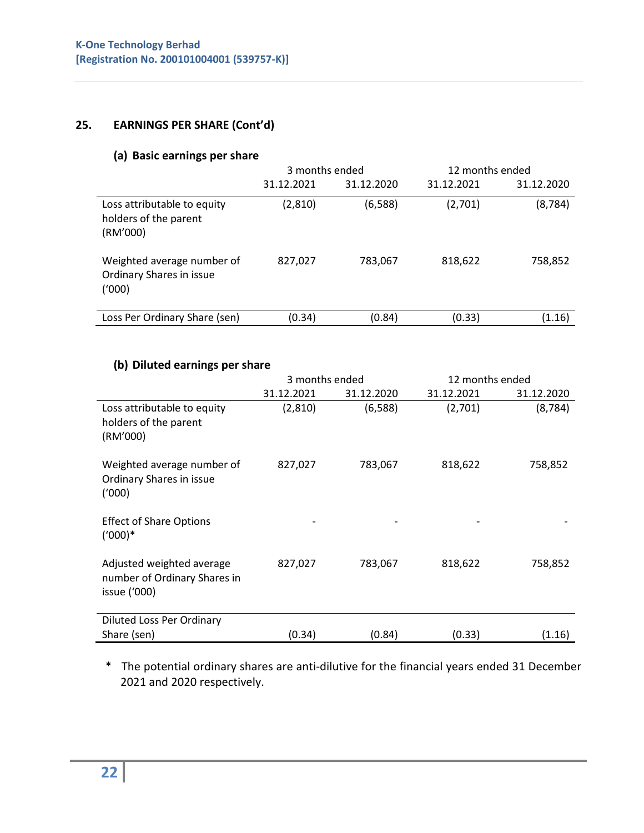# **25. EARNINGS PER SHARE (Cont'd)**

## **(a) Basic earnings per share**

|                                                                  | 3 months ended |            | 12 months ended |            |
|------------------------------------------------------------------|----------------|------------|-----------------|------------|
|                                                                  | 31.12.2021     | 31.12.2020 | 31.12.2021      | 31.12.2020 |
| Loss attributable to equity<br>holders of the parent<br>(RM'000) | (2,810)        | (6,588)    | (2,701)         | (8, 784)   |
| Weighted average number of<br>Ordinary Shares in issue<br>(1000) | 827,027        | 783,067    | 818,622         | 758,852    |
| Loss Per Ordinary Share (sen)                                    | (0.34)         | (0.84)     | (0.33)          | (1.16)     |

## **(b) Diluted earnings per share**

|                                                                           | 3 months ended |            | 12 months ended |            |
|---------------------------------------------------------------------------|----------------|------------|-----------------|------------|
|                                                                           | 31.12.2021     | 31.12.2020 | 31.12.2021      | 31.12.2020 |
| Loss attributable to equity<br>holders of the parent<br>(RM'000)          | (2,810)        | (6,588)    | (2,701)         | (8, 784)   |
| Weighted average number of<br>Ordinary Shares in issue<br>(1000)          | 827,027        | 783,067    | 818,622         | 758,852    |
| <b>Effect of Share Options</b><br>$(1000)*$                               |                |            |                 |            |
| Adjusted weighted average<br>number of Ordinary Shares in<br>issue ('000) | 827,027        | 783,067    | 818,622         | 758,852    |
| <b>Diluted Loss Per Ordinary</b>                                          |                |            |                 |            |
| Share (sen)                                                               | (0.34)         | (0.84)     | (0.33)          | (1.16)     |

\* The potential ordinary shares are anti-dilutive for the financial years ended 31 December 2021 and 2020 respectively.